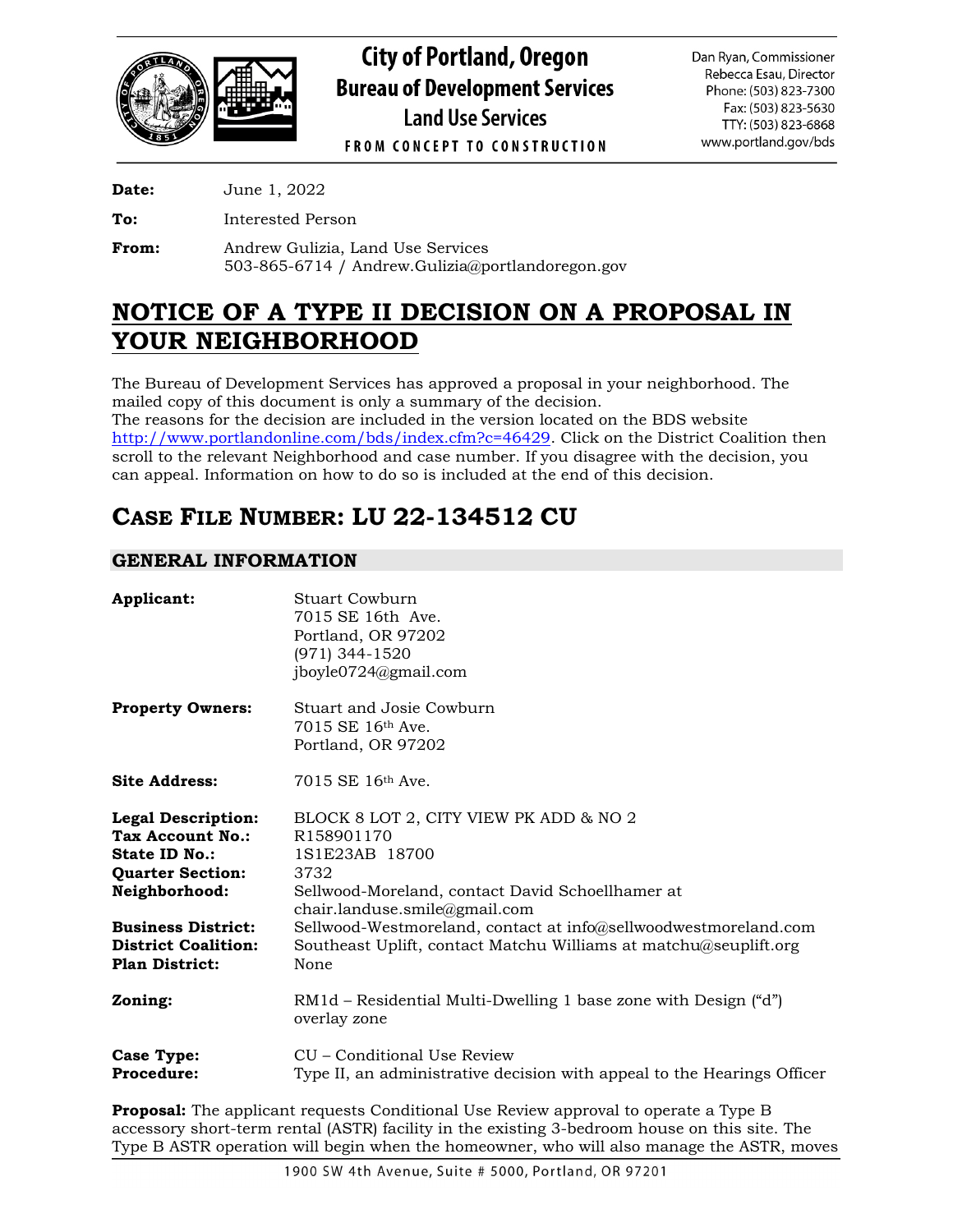

**City of Portland, Oregon Bureau of Development Services Land Use Services** 

Dan Ryan, Commissioner Rebecca Esau, Director Phone: (503) 823-7300 Fax: (503) 823-5630 TTY: (503) 823-6868 www.portland.gov/bds

**FROM CONCEPT TO CONSTRUCTION** 

**Date:** June 1, 2022

**To:** Interested Person

**From:** Andrew Gulizia, Land Use Services 503-865-6714 / Andrew.Gulizia@portlandoregon.gov

## **NOTICE OF A TYPE II DECISION ON A PROPOSAL IN YOUR NEIGHBORHOOD**

The Bureau of Development Services has approved a proposal in your neighborhood. The mailed copy of this document is only a summary of the decision. The reasons for the decision are included in the version located on the BDS website [http://www.portlandonline.com/bds/index.cfm?c=46429.](http://www.portlandonline.com/bds/index.cfm?c=46429) Click on the District Coalition then scroll to the relevant Neighborhood and case number. If you disagree with the decision, you can appeal. Information on how to do so is included at the end of this decision.

# **CASE FILE NUMBER: LU 22-134512 CU**

## **GENERAL INFORMATION**

| Applicant:                                                                                                               | Stuart Cowburn<br>7015 SE 16th Ave.<br>Portland, OR 97202<br>(971) 344-1520<br>jboyle0724@gmail.com                                                                 |
|--------------------------------------------------------------------------------------------------------------------------|---------------------------------------------------------------------------------------------------------------------------------------------------------------------|
| <b>Property Owners:</b>                                                                                                  | Stuart and Josie Cowburn<br>7015 SE 16th Ave.<br>Portland, OR 97202                                                                                                 |
| <b>Site Address:</b>                                                                                                     | 7015 SE 16th Ave.                                                                                                                                                   |
| <b>Legal Description:</b><br><b>Tax Account No.:</b><br><b>State ID No.:</b><br><b>Quarter Section:</b><br>Neighborhood: | BLOCK 8 LOT 2, CITY VIEW PK ADD & NO 2<br>R158901170<br>1S1E23AB 18700<br>3732<br>Sellwood-Moreland, contact David Schoellhamer at<br>chair.landuse.smile@gmail.com |
| <b>Business District:</b><br><b>District Coalition:</b><br><b>Plan District:</b>                                         | Sellwood-Westmoreland, contact at info@sellwoodwestmoreland.com<br>Southeast Uplift, contact Matchu Williams at matchu@seuplift.org<br>None                         |
| Zoning:                                                                                                                  | RM1d – Residential Multi-Dwelling 1 base zone with Design ("d")<br>overlay zone                                                                                     |
| Case Type:<br><b>Procedure:</b>                                                                                          | CU – Conditional Use Review<br>Type II, an administrative decision with appeal to the Hearings Officer                                                              |

**Proposal:** The applicant requests Conditional Use Review approval to operate a Type B accessory short-term rental (ASTR) facility in the existing 3-bedroom house on this site. The Type B ASTR operation will begin when the homeowner, who will also manage the ASTR, moves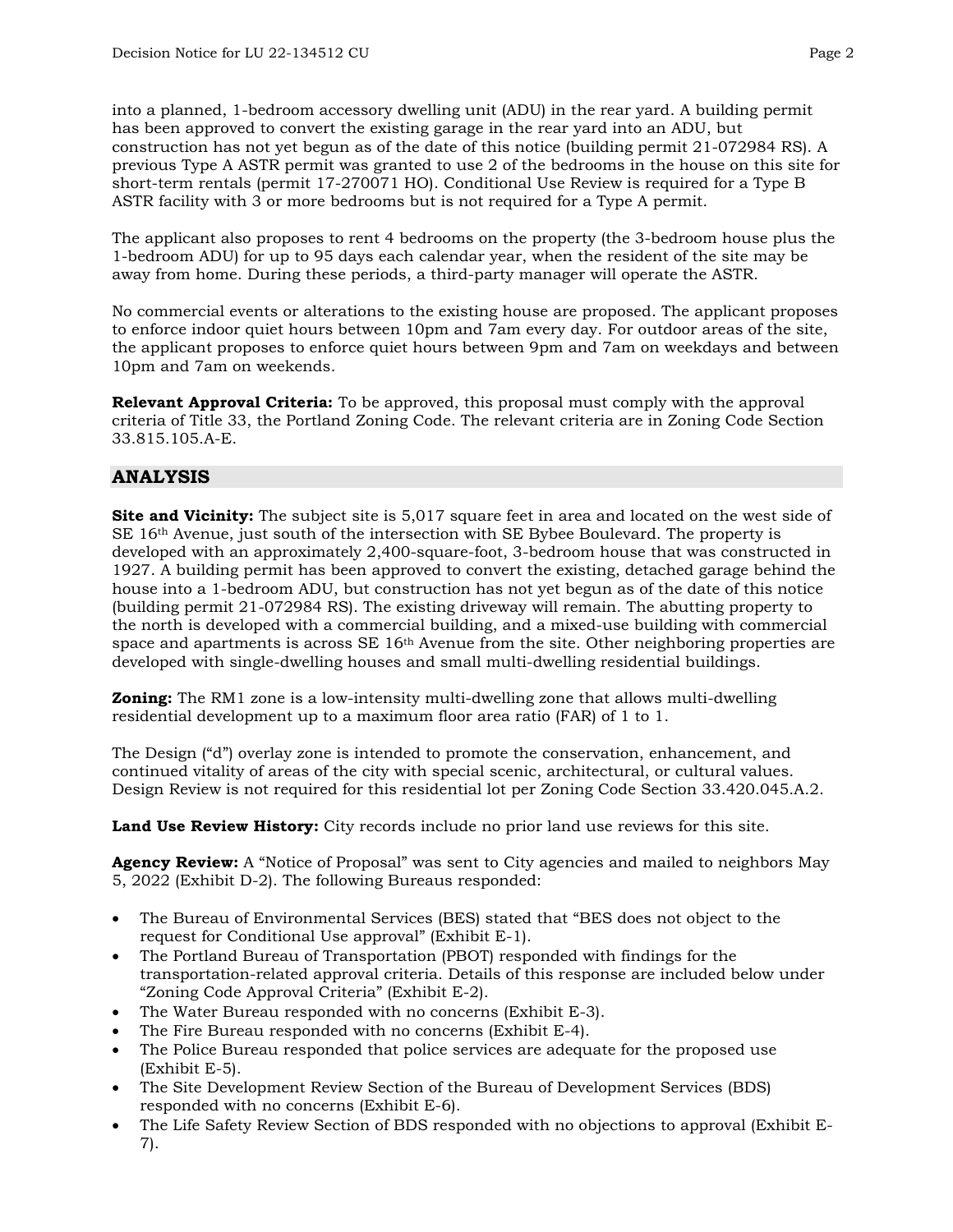into a planned, 1-bedroom accessory dwelling unit (ADU) in the rear yard. A building permit has been approved to convert the existing garage in the rear yard into an ADU, but construction has not yet begun as of the date of this notice (building permit 21-072984 RS). A previous Type A ASTR permit was granted to use 2 of the bedrooms in the house on this site for short-term rentals (permit 17-270071 HO). Conditional Use Review is required for a Type B ASTR facility with 3 or more bedrooms but is not required for a Type A permit.

The applicant also proposes to rent 4 bedrooms on the property (the 3-bedroom house plus the 1-bedroom ADU) for up to 95 days each calendar year, when the resident of the site may be away from home. During these periods, a third-party manager will operate the ASTR.

No commercial events or alterations to the existing house are proposed. The applicant proposes to enforce indoor quiet hours between 10pm and 7am every day. For outdoor areas of the site, the applicant proposes to enforce quiet hours between 9pm and 7am on weekdays and between 10pm and 7am on weekends.

**Relevant Approval Criteria:** To be approved, this proposal must comply with the approval criteria of Title 33, the Portland Zoning Code. The relevant criteria are in Zoning Code Section 33.815.105.A-E.

## **ANALYSIS**

**Site and Vicinity:** The subject site is 5,017 square feet in area and located on the west side of SE 16th Avenue, just south of the intersection with SE Bybee Boulevard. The property is developed with an approximately 2,400-square-foot, 3-bedroom house that was constructed in 1927. A building permit has been approved to convert the existing, detached garage behind the house into a 1-bedroom ADU, but construction has not yet begun as of the date of this notice (building permit 21-072984 RS). The existing driveway will remain. The abutting property to the north is developed with a commercial building, and a mixed-use building with commercial space and apartments is across SE 16<sup>th</sup> Avenue from the site. Other neighboring properties are developed with single-dwelling houses and small multi-dwelling residential buildings.

**Zoning:** The RM1 zone is a low-intensity multi-dwelling zone that allows multi-dwelling residential development up to a maximum floor area ratio (FAR) of 1 to 1.

The Design ("d") overlay zone is intended to promote the conservation, enhancement, and continued vitality of areas of the city with special scenic, architectural, or cultural values. Design Review is not required for this residential lot per Zoning Code Section 33.420.045.A.2.

**Land Use Review History:** City records include no prior land use reviews for this site.

**Agency Review:** A "Notice of Proposal" was sent to City agencies and mailed to neighbors May 5, 2022 (Exhibit D-2). The following Bureaus responded:

- The Bureau of Environmental Services (BES) stated that "BES does not object to the request for Conditional Use approval" (Exhibit E-1).
- The Portland Bureau of Transportation (PBOT) responded with findings for the transportation-related approval criteria. Details of this response are included below under "Zoning Code Approval Criteria" (Exhibit E-2).
- The Water Bureau responded with no concerns (Exhibit E-3).
- The Fire Bureau responded with no concerns (Exhibit E-4).
- The Police Bureau responded that police services are adequate for the proposed use (Exhibit E-5).
- The Site Development Review Section of the Bureau of Development Services (BDS) responded with no concerns (Exhibit E-6).
- The Life Safety Review Section of BDS responded with no objections to approval (Exhibit E-7).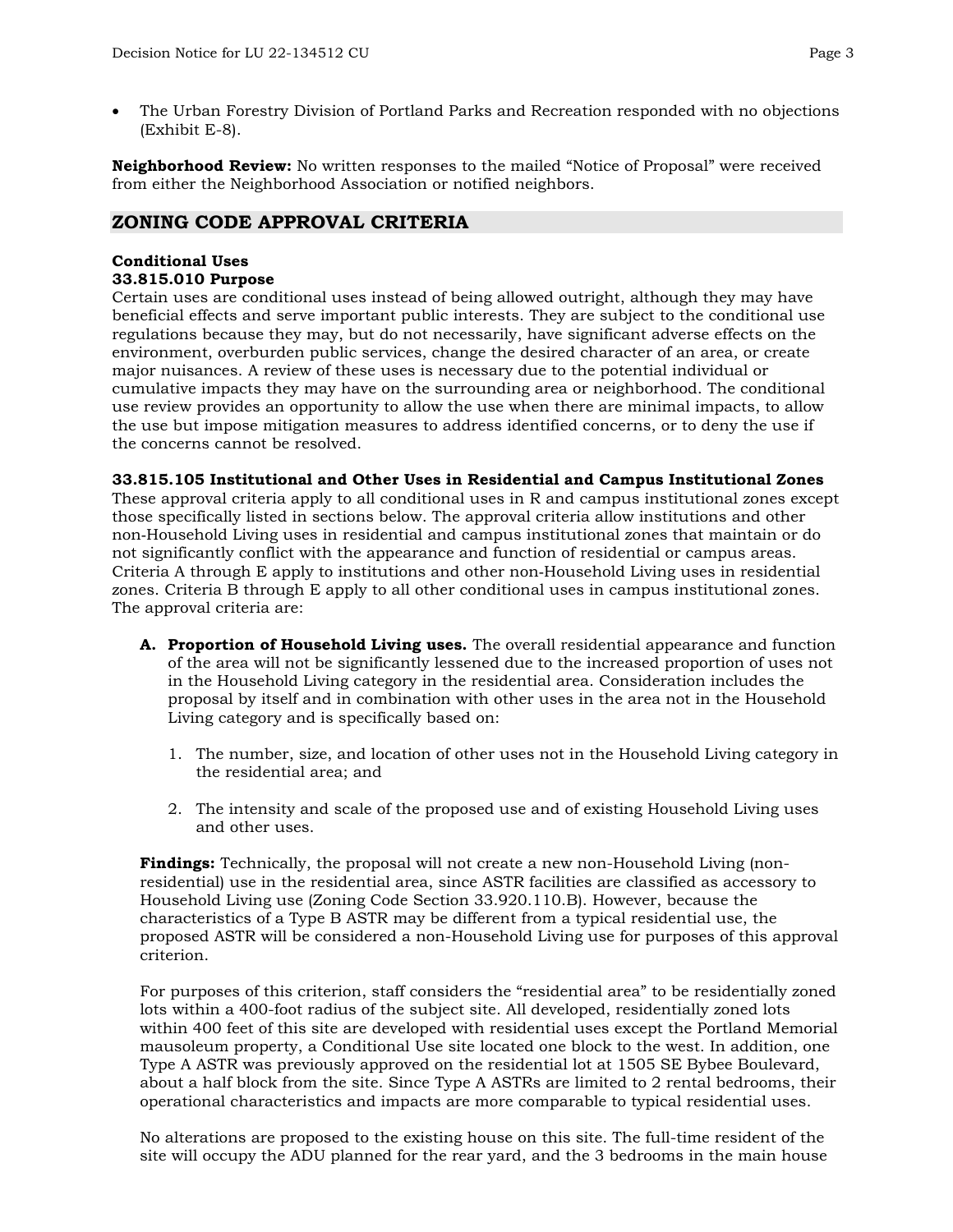• The Urban Forestry Division of Portland Parks and Recreation responded with no objections (Exhibit E-8).

**Neighborhood Review:** No written responses to the mailed "Notice of Proposal" were received from either the Neighborhood Association or notified neighbors.

## **ZONING CODE APPROVAL CRITERIA**

#### **Conditional Uses 33.815.010 Purpose**

Certain uses are conditional uses instead of being allowed outright, although they may have beneficial effects and serve important public interests. They are subject to the conditional use regulations because they may, but do not necessarily, have significant adverse effects on the environment, overburden public services, change the desired character of an area, or create major nuisances. A review of these uses is necessary due to the potential individual or cumulative impacts they may have on the surrounding area or neighborhood. The conditional use review provides an opportunity to allow the use when there are minimal impacts, to allow the use but impose mitigation measures to address identified concerns, or to deny the use if the concerns cannot be resolved.

#### **33.815.105 Institutional and Other Uses in Residential and Campus Institutional Zones**

These approval criteria apply to all conditional uses in R and campus institutional zones except those specifically listed in sections below. The approval criteria allow institutions and other non‐Household Living uses in residential and campus institutional zones that maintain or do not significantly conflict with the appearance and function of residential or campus areas. Criteria A through E apply to institutions and other non‐Household Living uses in residential zones. Criteria B through E apply to all other conditional uses in campus institutional zones. The approval criteria are:

- **A. Proportion of Household Living uses.** The overall residential appearance and function of the area will not be significantly lessened due to the increased proportion of uses not in the Household Living category in the residential area. Consideration includes the proposal by itself and in combination with other uses in the area not in the Household Living category and is specifically based on:
	- 1. The number, size, and location of other uses not in the Household Living category in the residential area; and
	- 2. The intensity and scale of the proposed use and of existing Household Living uses and other uses.

**Findings:** Technically, the proposal will not create a new non-Household Living (nonresidential) use in the residential area, since ASTR facilities are classified as accessory to Household Living use (Zoning Code Section 33.920.110.B). However, because the characteristics of a Type B ASTR may be different from a typical residential use, the proposed ASTR will be considered a non-Household Living use for purposes of this approval criterion.

For purposes of this criterion, staff considers the "residential area" to be residentially zoned lots within a 400-foot radius of the subject site. All developed, residentially zoned lots within 400 feet of this site are developed with residential uses except the Portland Memorial mausoleum property, a Conditional Use site located one block to the west. In addition, one Type A ASTR was previously approved on the residential lot at 1505 SE Bybee Boulevard, about a half block from the site. Since Type A ASTRs are limited to 2 rental bedrooms, their operational characteristics and impacts are more comparable to typical residential uses.

No alterations are proposed to the existing house on this site. The full-time resident of the site will occupy the ADU planned for the rear yard, and the 3 bedrooms in the main house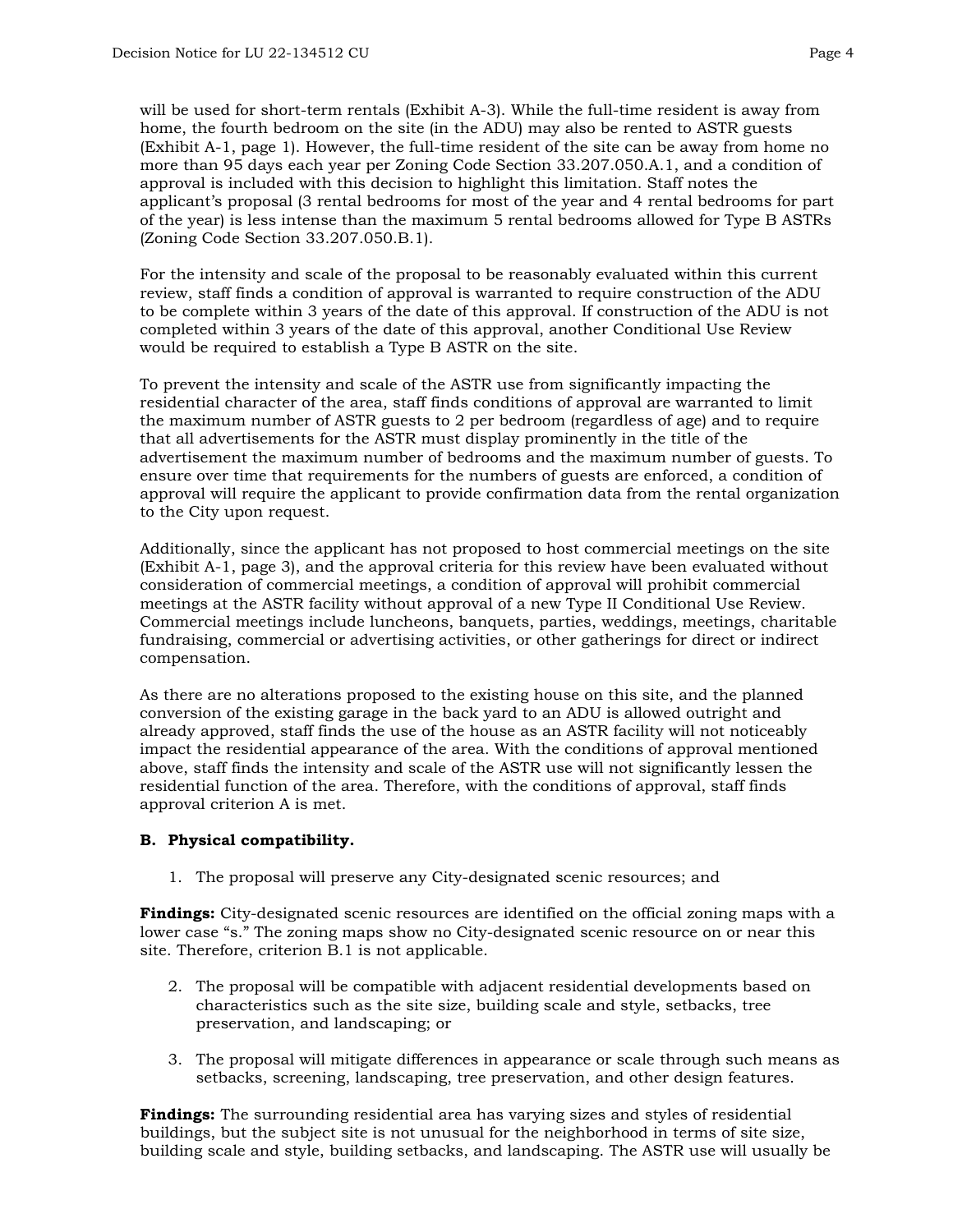will be used for short-term rentals (Exhibit A-3). While the full-time resident is away from home, the fourth bedroom on the site (in the ADU) may also be rented to ASTR guests (Exhibit A-1, page 1). However, the full-time resident of the site can be away from home no more than 95 days each year per Zoning Code Section 33.207.050.A.1, and a condition of approval is included with this decision to highlight this limitation. Staff notes the applicant's proposal (3 rental bedrooms for most of the year and 4 rental bedrooms for part of the year) is less intense than the maximum 5 rental bedrooms allowed for Type B ASTRs (Zoning Code Section 33.207.050.B.1).

For the intensity and scale of the proposal to be reasonably evaluated within this current review, staff finds a condition of approval is warranted to require construction of the ADU to be complete within 3 years of the date of this approval. If construction of the ADU is not completed within 3 years of the date of this approval, another Conditional Use Review would be required to establish a Type B ASTR on the site.

To prevent the intensity and scale of the ASTR use from significantly impacting the residential character of the area, staff finds conditions of approval are warranted to limit the maximum number of ASTR guests to 2 per bedroom (regardless of age) and to require that all advertisements for the ASTR must display prominently in the title of the advertisement the maximum number of bedrooms and the maximum number of guests. To ensure over time that requirements for the numbers of guests are enforced, a condition of approval will require the applicant to provide confirmation data from the rental organization to the City upon request.

Additionally, since the applicant has not proposed to host commercial meetings on the site (Exhibit A-1, page 3), and the approval criteria for this review have been evaluated without consideration of commercial meetings, a condition of approval will prohibit commercial meetings at the ASTR facility without approval of a new Type II Conditional Use Review. Commercial meetings include luncheons, banquets, parties, weddings, meetings, charitable fundraising, commercial or advertising activities, or other gatherings for direct or indirect compensation.

As there are no alterations proposed to the existing house on this site, and the planned conversion of the existing garage in the back yard to an ADU is allowed outright and already approved, staff finds the use of the house as an ASTR facility will not noticeably impact the residential appearance of the area. With the conditions of approval mentioned above, staff finds the intensity and scale of the ASTR use will not significantly lessen the residential function of the area. Therefore, with the conditions of approval, staff finds approval criterion A is met.

#### **B. Physical compatibility.**

1. The proposal will preserve any City-designated scenic resources; and

**Findings:** City-designated scenic resources are identified on the official zoning maps with a lower case "s." The zoning maps show no City-designated scenic resource on or near this site. Therefore, criterion B.1 is not applicable.

- 2. The proposal will be compatible with adjacent residential developments based on characteristics such as the site size, building scale and style, setbacks, tree preservation, and landscaping; or
- 3. The proposal will mitigate differences in appearance or scale through such means as setbacks, screening, landscaping, tree preservation, and other design features.

**Findings:** The surrounding residential area has varying sizes and styles of residential buildings, but the subject site is not unusual for the neighborhood in terms of site size, building scale and style, building setbacks, and landscaping. The ASTR use will usually be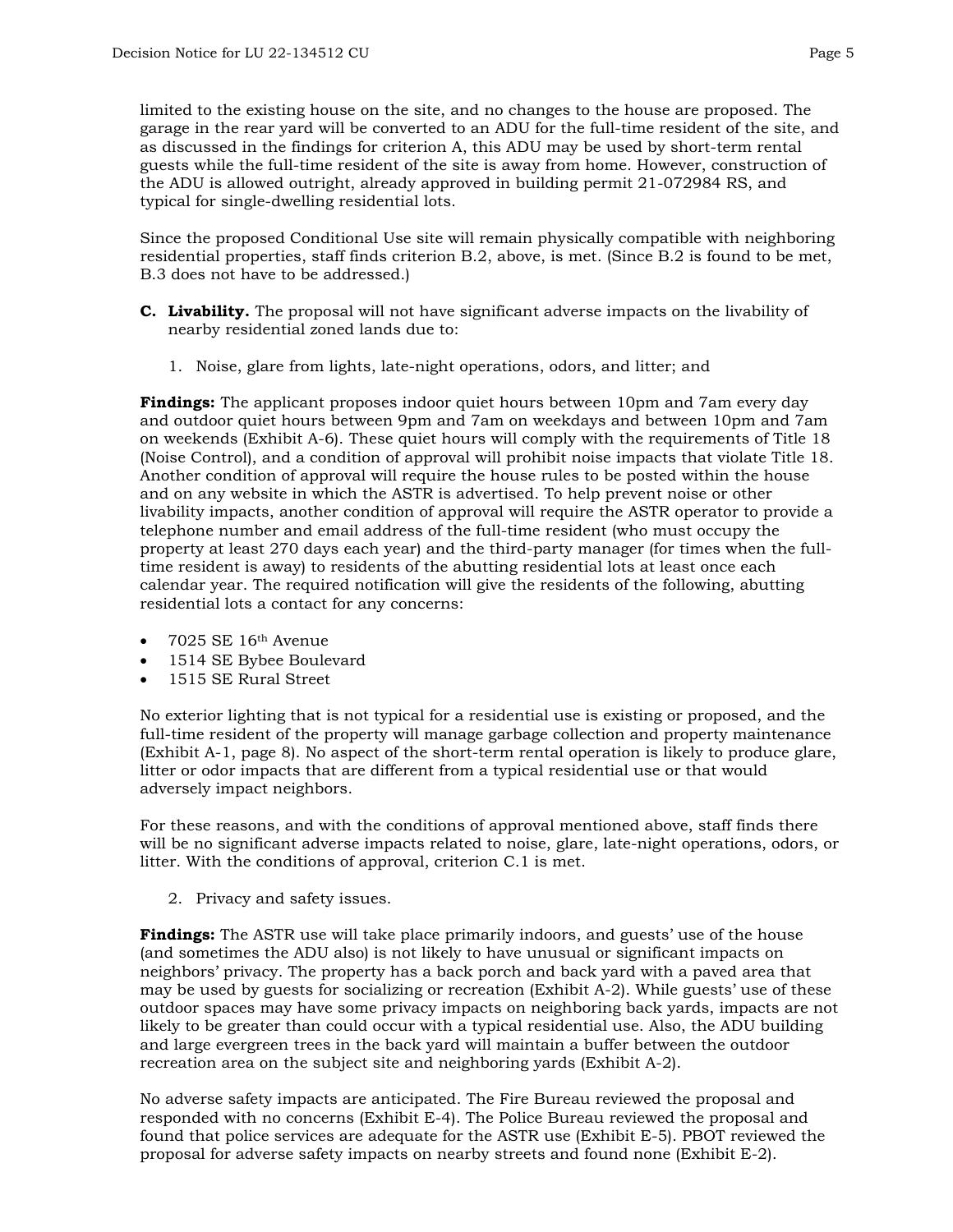limited to the existing house on the site, and no changes to the house are proposed. The garage in the rear yard will be converted to an ADU for the full-time resident of the site, and as discussed in the findings for criterion A, this ADU may be used by short-term rental guests while the full-time resident of the site is away from home. However, construction of the ADU is allowed outright, already approved in building permit 21-072984 RS, and typical for single-dwelling residential lots.

Since the proposed Conditional Use site will remain physically compatible with neighboring residential properties, staff finds criterion B.2, above, is met. (Since B.2 is found to be met, B.3 does not have to be addressed.)

- **C. Livability.** The proposal will not have significant adverse impacts on the livability of nearby residential zoned lands due to:
	- 1. Noise, glare from lights, late-night operations, odors, and litter; and

**Findings:** The applicant proposes indoor quiet hours between 10pm and 7am every day and outdoor quiet hours between 9pm and 7am on weekdays and between 10pm and 7am on weekends (Exhibit A-6). These quiet hours will comply with the requirements of Title 18 (Noise Control), and a condition of approval will prohibit noise impacts that violate Title 18. Another condition of approval will require the house rules to be posted within the house and on any website in which the ASTR is advertised. To help prevent noise or other livability impacts, another condition of approval will require the ASTR operator to provide a telephone number and email address of the full-time resident (who must occupy the property at least 270 days each year) and the third-party manager (for times when the fulltime resident is away) to residents of the abutting residential lots at least once each calendar year. The required notification will give the residents of the following, abutting residential lots a contact for any concerns:

- $\bullet$  7025 SE 16<sup>th</sup> Avenue
- 1514 SE Bybee Boulevard
- 1515 SE Rural Street

No exterior lighting that is not typical for a residential use is existing or proposed, and the full-time resident of the property will manage garbage collection and property maintenance (Exhibit A-1, page 8). No aspect of the short-term rental operation is likely to produce glare, litter or odor impacts that are different from a typical residential use or that would adversely impact neighbors.

For these reasons, and with the conditions of approval mentioned above, staff finds there will be no significant adverse impacts related to noise, glare, late-night operations, odors, or litter. With the conditions of approval, criterion C.1 is met.

2. Privacy and safety issues.

**Findings:** The ASTR use will take place primarily indoors, and guests' use of the house (and sometimes the ADU also) is not likely to have unusual or significant impacts on neighbors' privacy. The property has a back porch and back yard with a paved area that may be used by guests for socializing or recreation (Exhibit A-2). While guests' use of these outdoor spaces may have some privacy impacts on neighboring back yards, impacts are not likely to be greater than could occur with a typical residential use. Also, the ADU building and large evergreen trees in the back yard will maintain a buffer between the outdoor recreation area on the subject site and neighboring yards (Exhibit A-2).

No adverse safety impacts are anticipated. The Fire Bureau reviewed the proposal and responded with no concerns (Exhibit E-4). The Police Bureau reviewed the proposal and found that police services are adequate for the ASTR use (Exhibit E-5). PBOT reviewed the proposal for adverse safety impacts on nearby streets and found none (Exhibit E-2).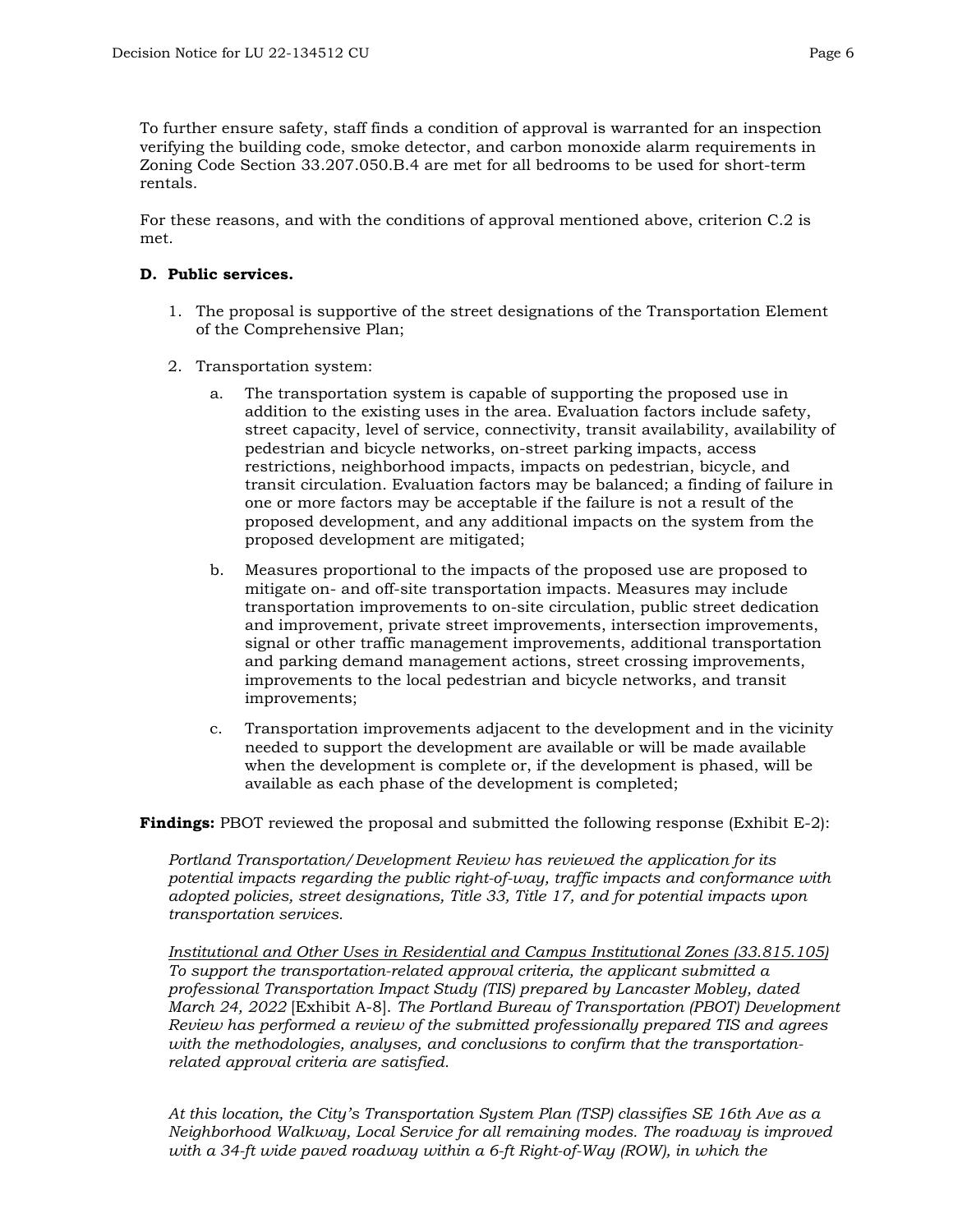To further ensure safety, staff finds a condition of approval is warranted for an inspection verifying the building code, smoke detector, and carbon monoxide alarm requirements in Zoning Code Section 33.207.050.B.4 are met for all bedrooms to be used for short-term rentals.

For these reasons, and with the conditions of approval mentioned above, criterion C.2 is met.

#### **D. Public services.**

- 1. The proposal is supportive of the street designations of the Transportation Element of the Comprehensive Plan;
- 2. Transportation system:
	- a. The transportation system is capable of supporting the proposed use in addition to the existing uses in the area. Evaluation factors include safety, street capacity, level of service, connectivity, transit availability, availability of pedestrian and bicycle networks, on-street parking impacts, access restrictions, neighborhood impacts, impacts on pedestrian, bicycle, and transit circulation. Evaluation factors may be balanced; a finding of failure in one or more factors may be acceptable if the failure is not a result of the proposed development, and any additional impacts on the system from the proposed development are mitigated;
	- b. Measures proportional to the impacts of the proposed use are proposed to mitigate on- and off-site transportation impacts. Measures may include transportation improvements to on-site circulation, public street dedication and improvement, private street improvements, intersection improvements, signal or other traffic management improvements, additional transportation and parking demand management actions, street crossing improvements, improvements to the local pedestrian and bicycle networks, and transit improvements;
	- c. Transportation improvements adjacent to the development and in the vicinity needed to support the development are available or will be made available when the development is complete or, if the development is phased, will be available as each phase of the development is completed;

**Findings:** PBOT reviewed the proposal and submitted the following response (Exhibit E-2):

*Portland Transportation/Development Review has reviewed the application for its potential impacts regarding the public right-of-way, traffic impacts and conformance with adopted policies, street designations, Title 33, Title 17, and for potential impacts upon transportation services.*

*Institutional and Other Uses in Residential and Campus Institutional Zones (33.815.105) To support the transportation-related approval criteria, the applicant submitted a professional Transportation Impact Study (TIS) prepared by Lancaster Mobley, dated March 24, 2022* [Exhibit A-8]. *The Portland Bureau of Transportation (PBOT) Development Review has performed a review of the submitted professionally prepared TIS and agrees with the methodologies, analyses, and conclusions to confirm that the transportationrelated approval criteria are satisfied.* 

*At this location, the City's Transportation System Plan (TSP) classifies SE 16th Ave as a Neighborhood Walkway, Local Service for all remaining modes. The roadway is improved with a 34-ft wide paved roadway within a 6-ft Right-of-Way (ROW), in which the*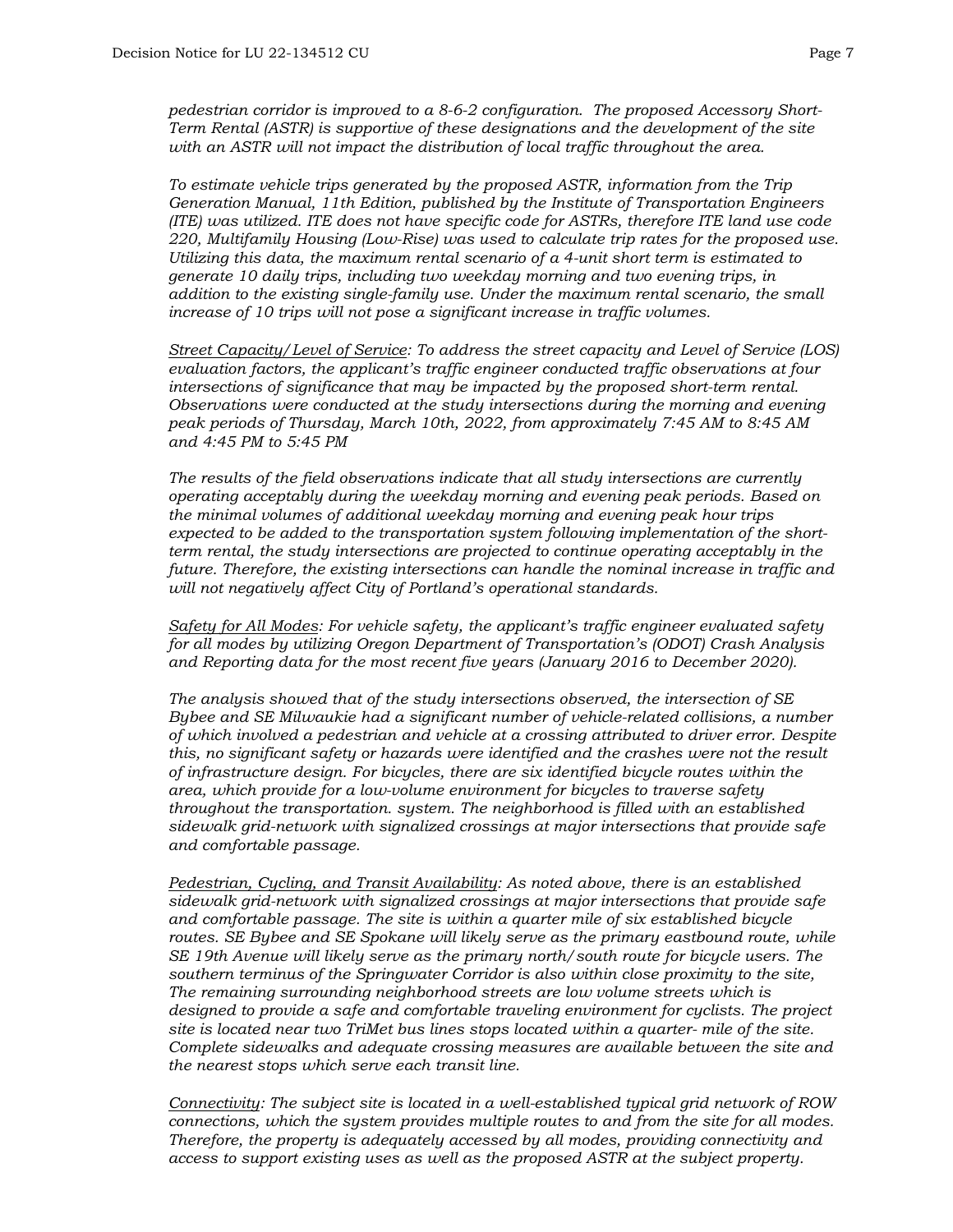*pedestrian corridor is improved to a 8-6-2 configuration. The proposed Accessory Short-Term Rental (ASTR) is supportive of these designations and the development of the site with an ASTR will not impact the distribution of local traffic throughout the area.*

*To estimate vehicle trips generated by the proposed ASTR, information from the Trip Generation Manual, 11th Edition, published by the Institute of Transportation Engineers (ITE) was utilized. ITE does not have specific code for ASTRs, therefore ITE land use code 220, Multifamily Housing (Low-Rise) was used to calculate trip rates for the proposed use. Utilizing this data, the maximum rental scenario of a 4-unit short term is estimated to generate 10 daily trips, including two weekday morning and two evening trips, in addition to the existing single-family use. Under the maximum rental scenario, the small increase of 10 trips will not pose a significant increase in traffic volumes.* 

*Street Capacity/Level of Service: To address the street capacity and Level of Service (LOS) evaluation factors, the applicant's traffic engineer conducted traffic observations at four intersections of significance that may be impacted by the proposed short-term rental. Observations were conducted at the study intersections during the morning and evening peak periods of Thursday, March 10th, 2022, from approximately 7:45 AM to 8:45 AM and 4:45 PM to 5:45 PM*

*The results of the field observations indicate that all study intersections are currently operating acceptably during the weekday morning and evening peak periods. Based on the minimal volumes of additional weekday morning and evening peak hour trips expected to be added to the transportation system following implementation of the shortterm rental, the study intersections are projected to continue operating acceptably in the future. Therefore, the existing intersections can handle the nominal increase in traffic and will not negatively affect City of Portland's operational standards.*

*Safety for All Modes: For vehicle safety, the applicant's traffic engineer evaluated safety for all modes by utilizing Oregon Department of Transportation's (ODOT) Crash Analysis and Reporting data for the most recent five years (January 2016 to December 2020).* 

*The analysis showed that of the study intersections observed, the intersection of SE Bybee and SE Milwaukie had a significant number of vehicle-related collisions, a number of which involved a pedestrian and vehicle at a crossing attributed to driver error. Despite this, no significant safety or hazards were identified and the crashes were not the result of infrastructure design. For bicycles, there are six identified bicycle routes within the area, which provide for a low-volume environment for bicycles to traverse safety throughout the transportation. system. The neighborhood is filled with an established sidewalk grid-network with signalized crossings at major intersections that provide safe and comfortable passage.* 

*Pedestrian, Cycling, and Transit Availability: As noted above, there is an established sidewalk grid-network with signalized crossings at major intersections that provide safe and comfortable passage. The site is within a quarter mile of six established bicycle routes. SE Bybee and SE Spokane will likely serve as the primary eastbound route, while SE 19th Avenue will likely serve as the primary north/south route for bicycle users. The southern terminus of the Springwater Corridor is also within close proximity to the site, The remaining surrounding neighborhood streets are low volume streets which is designed to provide a safe and comfortable traveling environment for cyclists. The project site is located near two TriMet bus lines stops located within a quarter- mile of the site. Complete sidewalks and adequate crossing measures are available between the site and the nearest stops which serve each transit line.*

*Connectivity: The subject site is located in a well-established typical grid network of ROW connections, which the system provides multiple routes to and from the site for all modes. Therefore, the property is adequately accessed by all modes, providing connectivity and access to support existing uses as well as the proposed ASTR at the subject property.*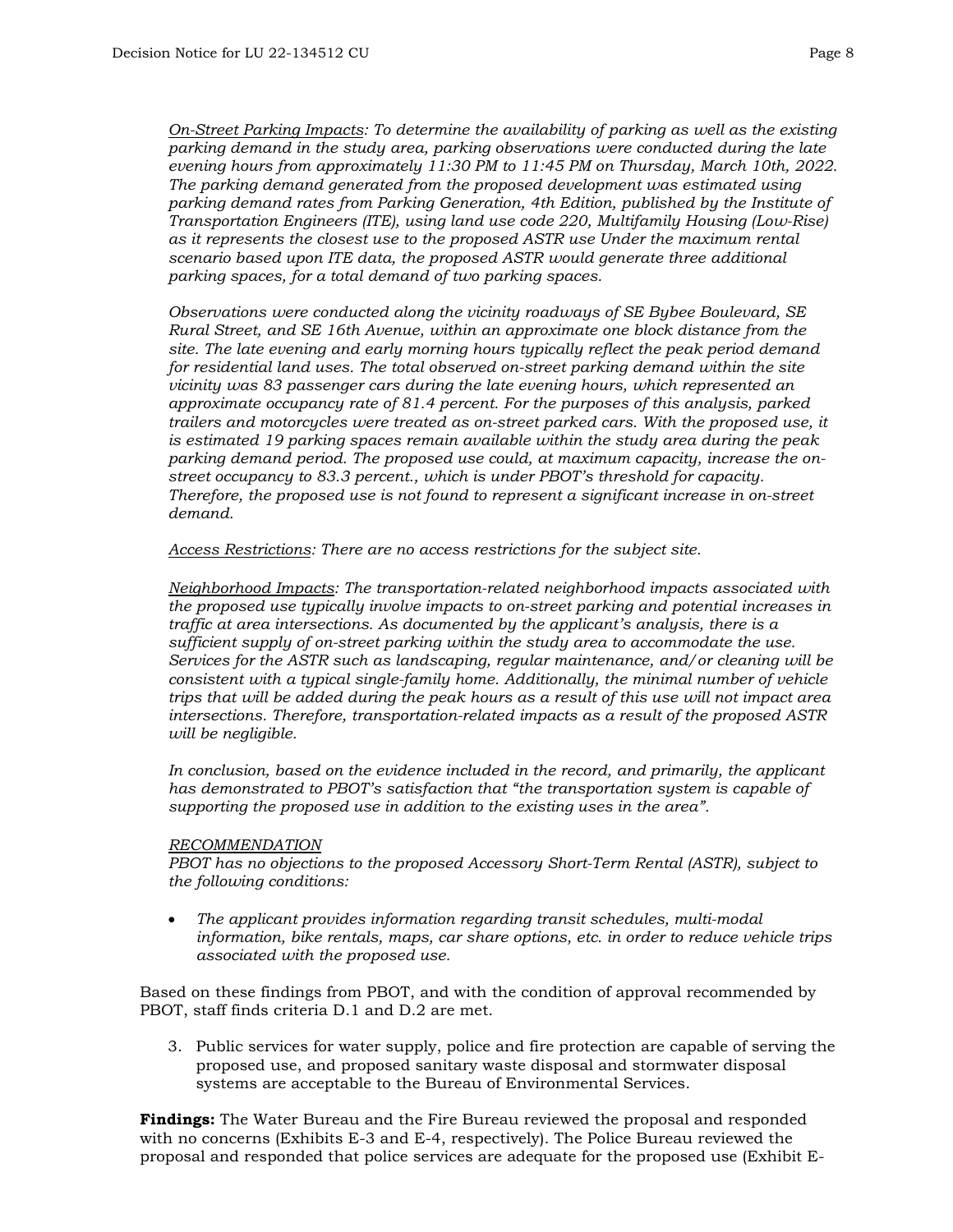*On-Street Parking Impacts: To determine the availability of parking as well as the existing parking demand in the study area, parking observations were conducted during the late evening hours from approximately 11:30 PM to 11:45 PM on Thursday, March 10th, 2022. The parking demand generated from the proposed development was estimated using parking demand rates from Parking Generation, 4th Edition, published by the Institute of Transportation Engineers (ITE), using land use code 220, Multifamily Housing (Low-Rise) as it represents the closest use to the proposed ASTR use Under the maximum rental scenario based upon ITE data, the proposed ASTR would generate three additional parking spaces, for a total demand of two parking spaces.* 

*Observations were conducted along the vicinity roadways of SE Bybee Boulevard, SE Rural Street, and SE 16th Avenue, within an approximate one block distance from the site. The late evening and early morning hours typically reflect the peak period demand for residential land uses. The total observed on-street parking demand within the site vicinity was 83 passenger cars during the late evening hours, which represented an approximate occupancy rate of 81.4 percent. For the purposes of this analysis, parked trailers and motorcycles were treated as on-street parked cars. With the proposed use, it is estimated 19 parking spaces remain available within the study area during the peak parking demand period. The proposed use could, at maximum capacity, increase the onstreet occupancy to 83.3 percent., which is under PBOT's threshold for capacity. Therefore, the proposed use is not found to represent a significant increase in on-street demand.* 

*Access Restrictions: There are no access restrictions for the subject site.* 

*Neighborhood Impacts: The transportation-related neighborhood impacts associated with the proposed use typically involve impacts to on-street parking and potential increases in traffic at area intersections. As documented by the applicant's analysis, there is a sufficient supply of on-street parking within the study area to accommodate the use. Services for the ASTR such as landscaping, regular maintenance, and/or cleaning will be consistent with a typical single-family home. Additionally, the minimal number of vehicle trips that will be added during the peak hours as a result of this use will not impact area intersections. Therefore, transportation-related impacts as a result of the proposed ASTR will be negligible.* 

In conclusion, based on the evidence included in the record, and primarily, the applicant *has demonstrated to PBOT's satisfaction that "the transportation system is capable of supporting the proposed use in addition to the existing uses in the area".*

#### *RECOMMENDATION*

*PBOT has no objections to the proposed Accessory Short-Term Rental (ASTR), subject to the following conditions:*

• *The applicant provides information regarding transit schedules, multi-modal information, bike rentals, maps, car share options, etc. in order to reduce vehicle trips associated with the proposed use.*

Based on these findings from PBOT, and with the condition of approval recommended by PBOT, staff finds criteria D.1 and D.2 are met.

3. Public services for water supply, police and fire protection are capable of serving the proposed use, and proposed sanitary waste disposal and stormwater disposal systems are acceptable to the Bureau of Environmental Services.

**Findings:** The Water Bureau and the Fire Bureau reviewed the proposal and responded with no concerns (Exhibits E-3 and E-4, respectively). The Police Bureau reviewed the proposal and responded that police services are adequate for the proposed use (Exhibit E-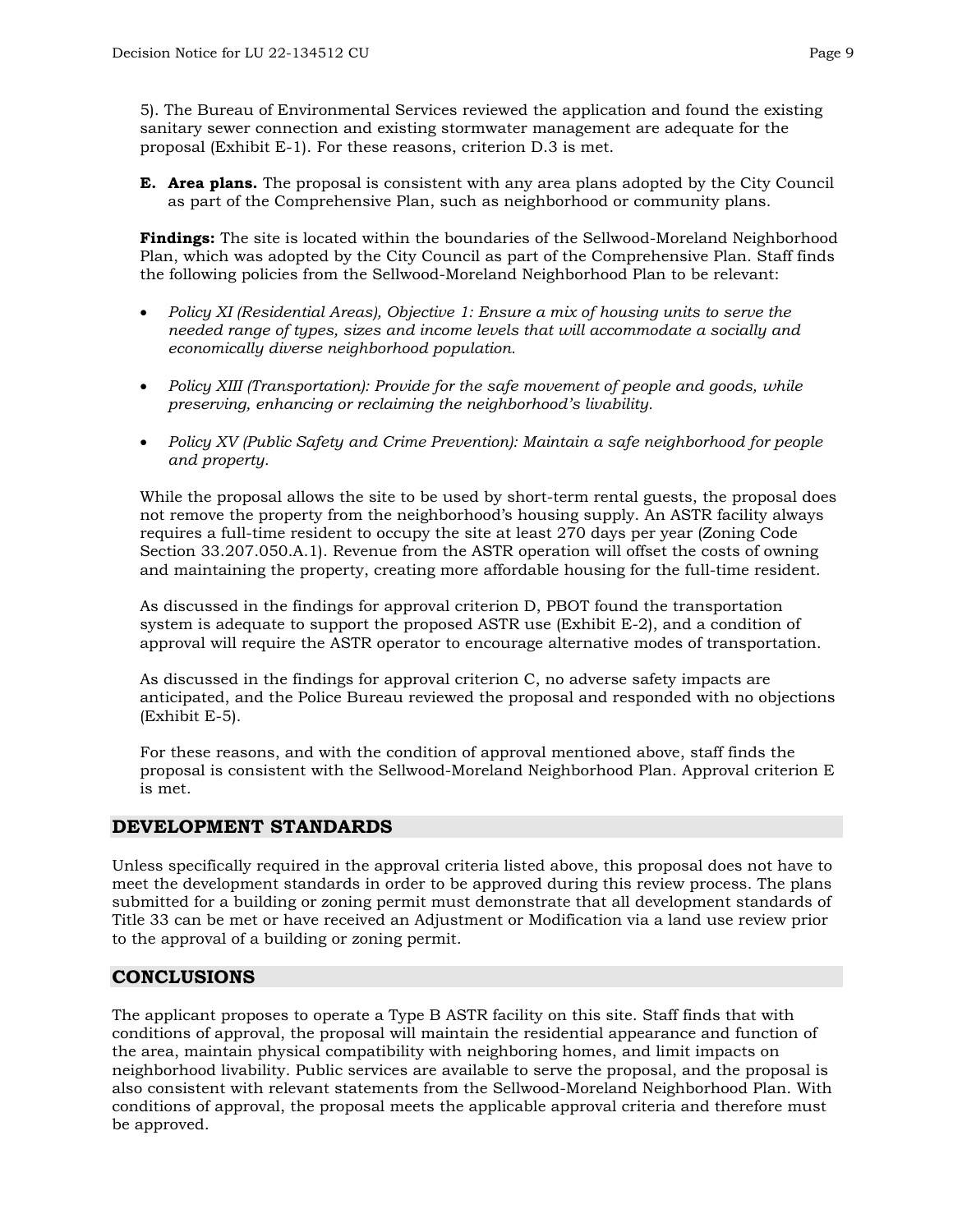5). The Bureau of Environmental Services reviewed the application and found the existing sanitary sewer connection and existing stormwater management are adequate for the proposal (Exhibit E-1). For these reasons, criterion D.3 is met.

**E. Area plans.** The proposal is consistent with any area plans adopted by the City Council as part of the Comprehensive Plan, such as neighborhood or community plans.

**Findings:** The site is located within the boundaries of the Sellwood-Moreland Neighborhood Plan, which was adopted by the City Council as part of the Comprehensive Plan. Staff finds the following policies from the Sellwood-Moreland Neighborhood Plan to be relevant:

- *Policy XI (Residential Areas), Objective 1: Ensure a mix of housing units to serve the needed range of types, sizes and income levels that will accommodate a socially and economically diverse neighborhood population.*
- *Policy XIII (Transportation): Provide for the safe movement of people and goods, while preserving, enhancing or reclaiming the neighborhood's livability.*
- *Policy XV (Public Safety and Crime Prevention): Maintain a safe neighborhood for people and property.*

While the proposal allows the site to be used by short-term rental guests, the proposal does not remove the property from the neighborhood's housing supply. An ASTR facility always requires a full-time resident to occupy the site at least 270 days per year (Zoning Code Section 33.207.050.A.1). Revenue from the ASTR operation will offset the costs of owning and maintaining the property, creating more affordable housing for the full-time resident.

As discussed in the findings for approval criterion D, PBOT found the transportation system is adequate to support the proposed ASTR use (Exhibit E-2), and a condition of approval will require the ASTR operator to encourage alternative modes of transportation.

As discussed in the findings for approval criterion C, no adverse safety impacts are anticipated, and the Police Bureau reviewed the proposal and responded with no objections (Exhibit E-5).

For these reasons, and with the condition of approval mentioned above, staff finds the proposal is consistent with the Sellwood-Moreland Neighborhood Plan. Approval criterion E is met.

## **DEVELOPMENT STANDARDS**

Unless specifically required in the approval criteria listed above, this proposal does not have to meet the development standards in order to be approved during this review process. The plans submitted for a building or zoning permit must demonstrate that all development standards of Title 33 can be met or have received an Adjustment or Modification via a land use review prior to the approval of a building or zoning permit.

## **CONCLUSIONS**

The applicant proposes to operate a Type B ASTR facility on this site. Staff finds that with conditions of approval, the proposal will maintain the residential appearance and function of the area, maintain physical compatibility with neighboring homes, and limit impacts on neighborhood livability. Public services are available to serve the proposal, and the proposal is also consistent with relevant statements from the Sellwood-Moreland Neighborhood Plan. With conditions of approval, the proposal meets the applicable approval criteria and therefore must be approved.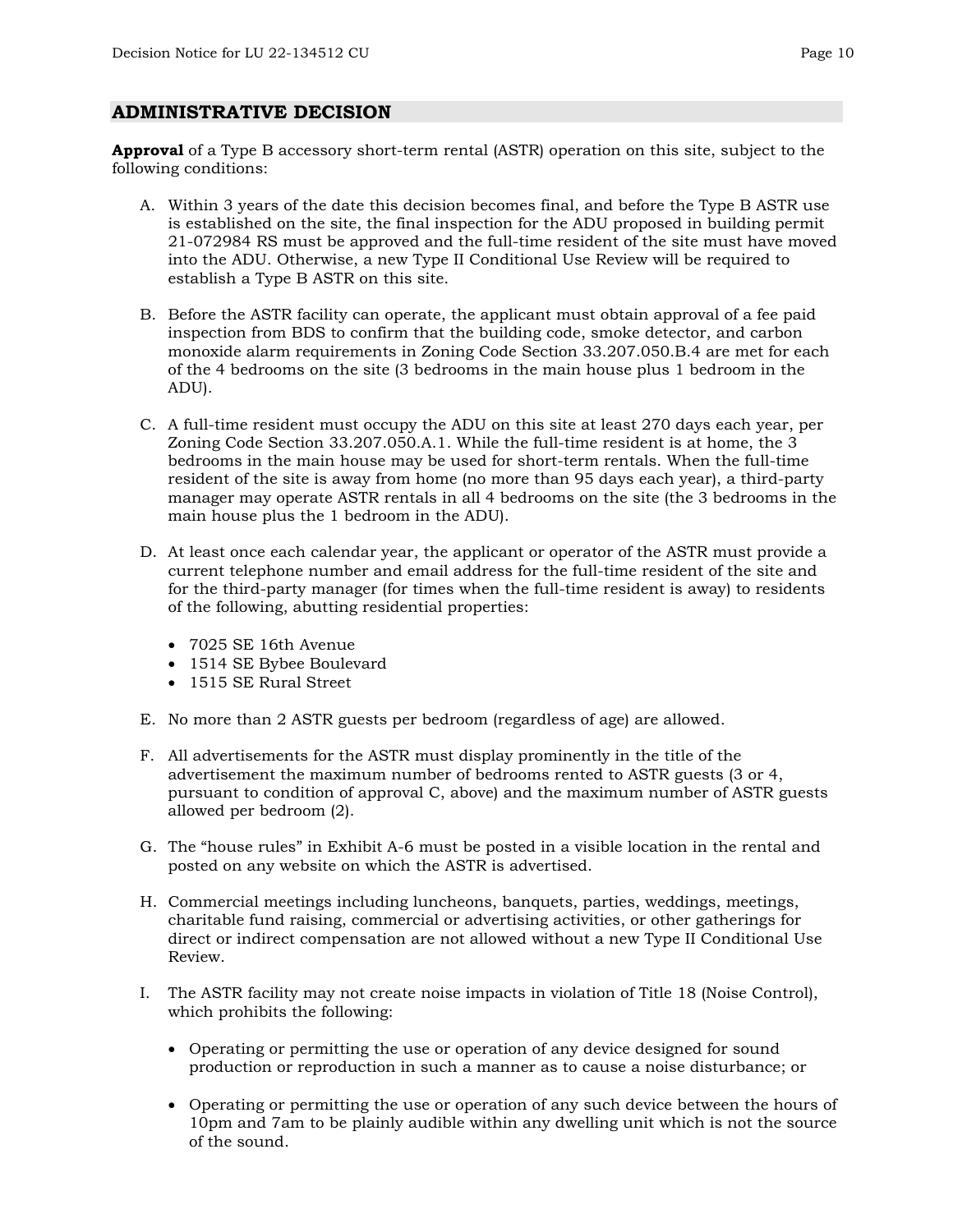#### **ADMINISTRATIVE DECISION**

**Approval** of a Type B accessory short-term rental (ASTR) operation on this site, subject to the following conditions:

- A. Within 3 years of the date this decision becomes final, and before the Type B ASTR use is established on the site, the final inspection for the ADU proposed in building permit 21-072984 RS must be approved and the full-time resident of the site must have moved into the ADU. Otherwise, a new Type II Conditional Use Review will be required to establish a Type B ASTR on this site.
- B. Before the ASTR facility can operate, the applicant must obtain approval of a fee paid inspection from BDS to confirm that the building code, smoke detector, and carbon monoxide alarm requirements in Zoning Code Section 33.207.050.B.4 are met for each of the 4 bedrooms on the site (3 bedrooms in the main house plus 1 bedroom in the ADU).
- C. A full-time resident must occupy the ADU on this site at least 270 days each year, per Zoning Code Section 33.207.050.A.1. While the full-time resident is at home, the 3 bedrooms in the main house may be used for short-term rentals. When the full-time resident of the site is away from home (no more than 95 days each year), a third-party manager may operate ASTR rentals in all 4 bedrooms on the site (the 3 bedrooms in the main house plus the 1 bedroom in the ADU).
- D. At least once each calendar year, the applicant or operator of the ASTR must provide a current telephone number and email address for the full-time resident of the site and for the third-party manager (for times when the full-time resident is away) to residents of the following, abutting residential properties:
	- 7025 SE 16th Avenue
	- 1514 SE Bybee Boulevard
	- 1515 SE Rural Street
- E. No more than 2 ASTR guests per bedroom (regardless of age) are allowed.
- F. All advertisements for the ASTR must display prominently in the title of the advertisement the maximum number of bedrooms rented to ASTR guests (3 or 4, pursuant to condition of approval C, above) and the maximum number of ASTR guests allowed per bedroom (2).
- G. The "house rules" in Exhibit A-6 must be posted in a visible location in the rental and posted on any website on which the ASTR is advertised.
- H. Commercial meetings including luncheons, banquets, parties, weddings, meetings, charitable fund raising, commercial or advertising activities, or other gatherings for direct or indirect compensation are not allowed without a new Type II Conditional Use Review.
- I. The ASTR facility may not create noise impacts in violation of Title 18 (Noise Control), which prohibits the following:
	- Operating or permitting the use or operation of any device designed for sound production or reproduction in such a manner as to cause a noise disturbance; or
	- Operating or permitting the use or operation of any such device between the hours of 10pm and 7am to be plainly audible within any dwelling unit which is not the source of the sound.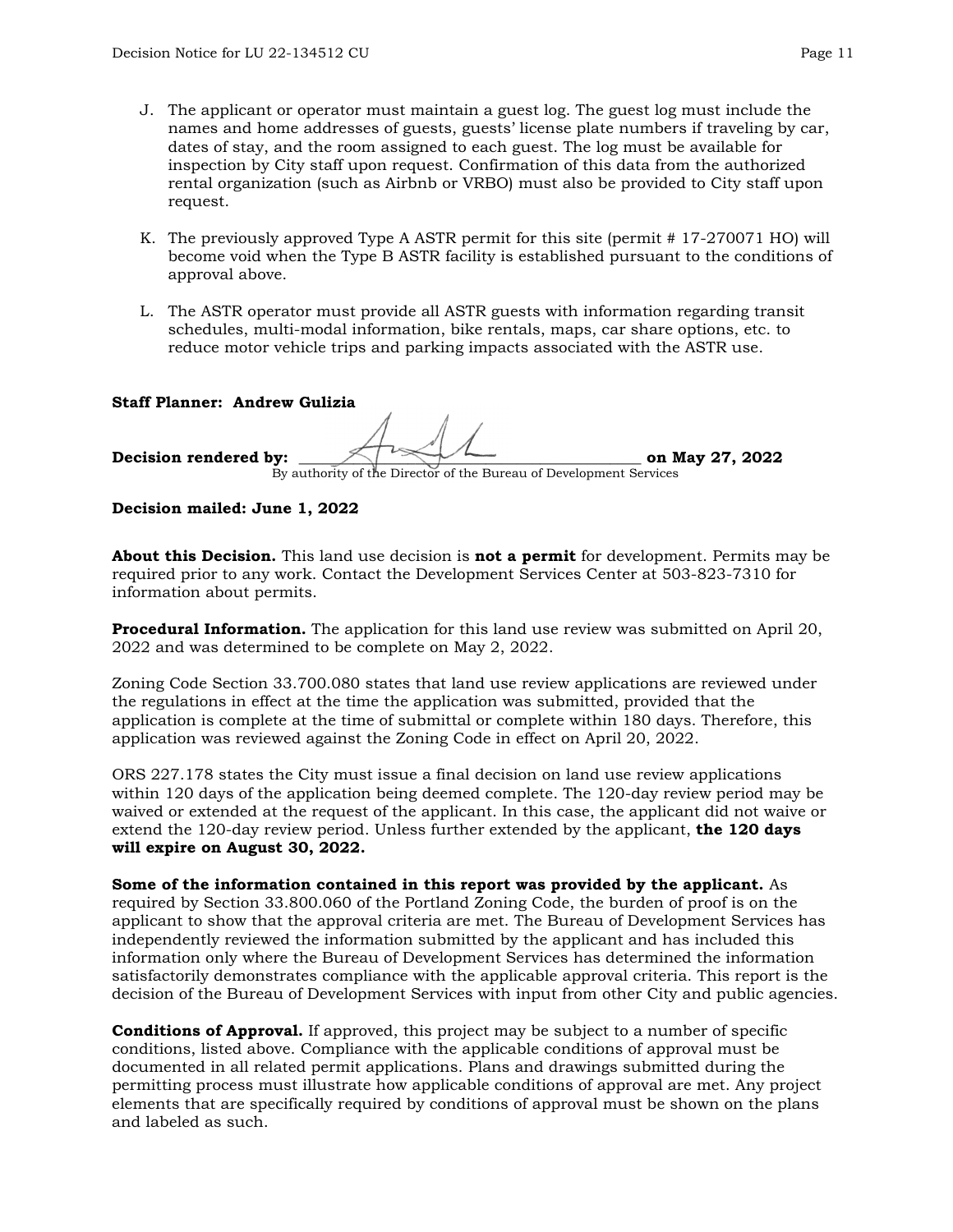- J. The applicant or operator must maintain a guest log. The guest log must include the names and home addresses of guests, guests' license plate numbers if traveling by car, dates of stay, and the room assigned to each guest. The log must be available for inspection by City staff upon request. Confirmation of this data from the authorized rental organization (such as Airbnb or VRBO) must also be provided to City staff upon request.
- K. The previously approved Type A ASTR permit for this site (permit # 17-270071 HO) will become void when the Type B ASTR facility is established pursuant to the conditions of approval above.
- L. The ASTR operator must provide all ASTR guests with information regarding transit schedules, multi-modal information, bike rentals, maps, car share options, etc. to reduce motor vehicle trips and parking impacts associated with the ASTR use.

#### **Staff Planner: Andrew Gulizia**

# **Decision rendered by:**  $\left\langle \right\rangle$   $\left\langle \right\rangle$   $\left\langle \right\rangle$   $\left\langle \right\rangle$  and May 27, 2022 By authority of the Director of the Bureau of Development Services

**Decision mailed: June 1, 2022**

**About this Decision.** This land use decision is **not a permit** for development. Permits may be required prior to any work. Contact the Development Services Center at 503-823-7310 for information about permits.

**Procedural Information.** The application for this land use review was submitted on April 20, 2022 and was determined to be complete on May 2, 2022.

Zoning Code Section 33.700.080 states that land use review applications are reviewed under the regulations in effect at the time the application was submitted, provided that the application is complete at the time of submittal or complete within 180 days. Therefore, this application was reviewed against the Zoning Code in effect on April 20, 2022.

ORS 227.178 states the City must issue a final decision on land use review applications within 120 days of the application being deemed complete. The 120-day review period may be waived or extended at the request of the applicant. In this case, the applicant did not waive or extend the 120-day review period. Unless further extended by the applicant, **the 120 days will expire on August 30, 2022.**

**Some of the information contained in this report was provided by the applicant.** As required by Section 33.800.060 of the Portland Zoning Code, the burden of proof is on the applicant to show that the approval criteria are met. The Bureau of Development Services has independently reviewed the information submitted by the applicant and has included this information only where the Bureau of Development Services has determined the information satisfactorily demonstrates compliance with the applicable approval criteria. This report is the decision of the Bureau of Development Services with input from other City and public agencies.

**Conditions of Approval.** If approved, this project may be subject to a number of specific conditions, listed above. Compliance with the applicable conditions of approval must be documented in all related permit applications. Plans and drawings submitted during the permitting process must illustrate how applicable conditions of approval are met. Any project elements that are specifically required by conditions of approval must be shown on the plans and labeled as such.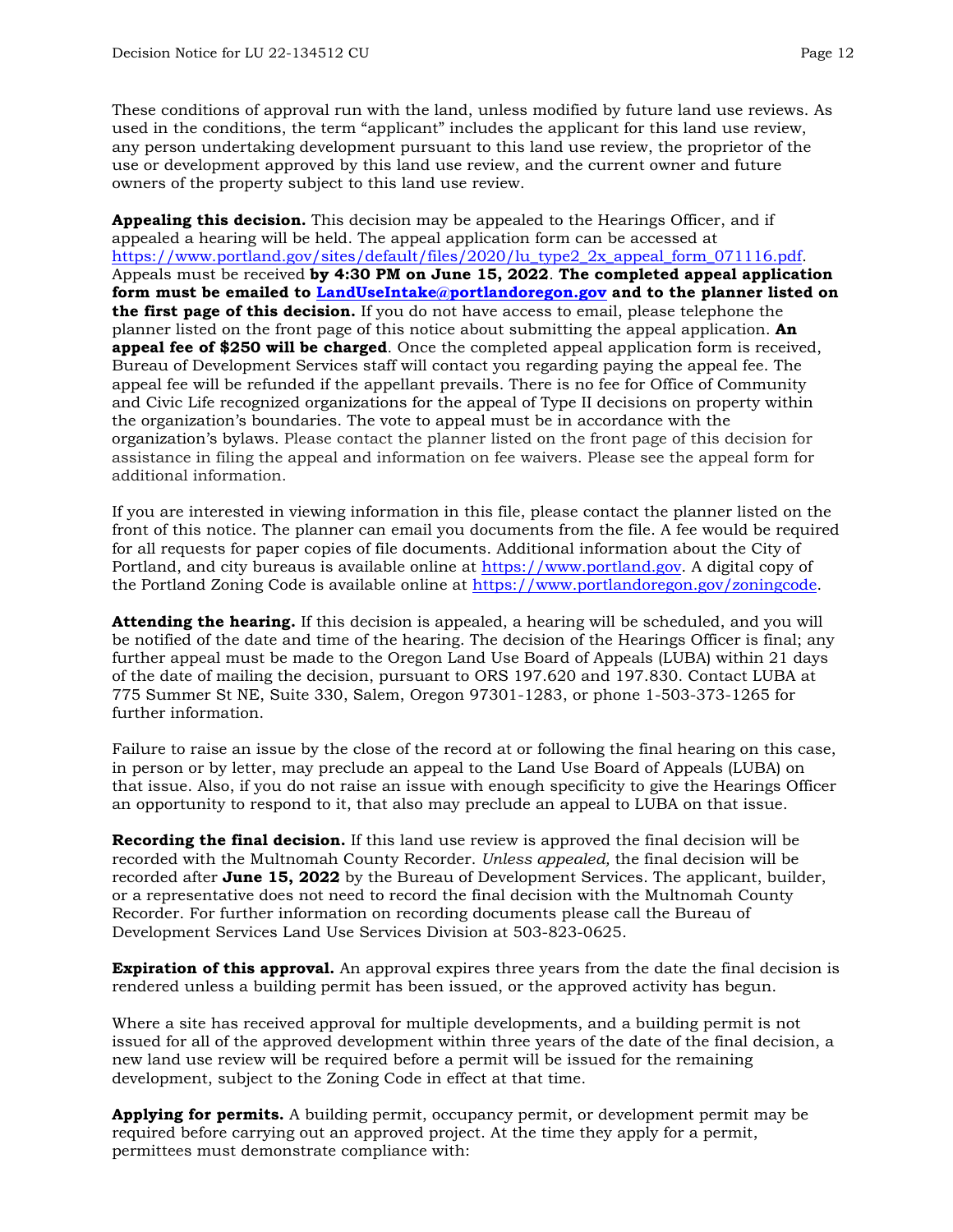These conditions of approval run with the land, unless modified by future land use reviews. As used in the conditions, the term "applicant" includes the applicant for this land use review, any person undertaking development pursuant to this land use review, the proprietor of the use or development approved by this land use review, and the current owner and future owners of the property subject to this land use review.

**Appealing this decision.** This decision may be appealed to the Hearings Officer, and if appealed a hearing will be held. The appeal application form can be accessed at [https://www.portland.gov/sites/default/files/2020/lu\\_type2\\_2x\\_appeal\\_form\\_071116.pdf.](https://www.portland.gov/sites/default/files/2020/lu_type2_2x_appeal_form_071116.pdf) Appeals must be received **by 4:30 PM on June 15, 2022**. **The completed appeal application form must be emailed to [LandUseIntake@portlandoregon.gov](mailto:LandUseIntake@portlandoregon.gov) and to the planner listed on the first page of this decision.** If you do not have access to email, please telephone the planner listed on the front page of this notice about submitting the appeal application. **An appeal fee of \$250 will be charged**. Once the completed appeal application form is received, Bureau of Development Services staff will contact you regarding paying the appeal fee. The appeal fee will be refunded if the appellant prevails. There is no fee for Office of Community and Civic Life recognized organizations for the appeal of Type II decisions on property within the organization's boundaries. The vote to appeal must be in accordance with the organization's bylaws. Please contact the planner listed on the front page of this decision for assistance in filing the appeal and information on fee waivers. Please see the appeal form for additional information.

If you are interested in viewing information in this file, please contact the planner listed on the front of this notice. The planner can email you documents from the file. A fee would be required for all requests for paper copies of file documents. Additional information about the City of Portland, and city bureaus is available online at [https://www.portland.gov.](https://www.portland.gov/) A digital copy of the Portland Zoning Code is available online at [https://www.portlandoregon.gov/zoningcode.](https://www.portlandoregon.gov/zoningcode)

**Attending the hearing.** If this decision is appealed, a hearing will be scheduled, and you will be notified of the date and time of the hearing. The decision of the Hearings Officer is final; any further appeal must be made to the Oregon Land Use Board of Appeals (LUBA) within 21 days of the date of mailing the decision, pursuant to ORS 197.620 and 197.830. Contact LUBA at 775 Summer St NE, Suite 330, Salem, Oregon 97301-1283, or phone 1-503-373-1265 for further information.

Failure to raise an issue by the close of the record at or following the final hearing on this case, in person or by letter, may preclude an appeal to the Land Use Board of Appeals (LUBA) on that issue. Also, if you do not raise an issue with enough specificity to give the Hearings Officer an opportunity to respond to it, that also may preclude an appeal to LUBA on that issue.

**Recording the final decision.** If this land use review is approved the final decision will be recorded with the Multnomah County Recorder. *Unless appealed,* the final decision will be recorded after **June 15, 2022** by the Bureau of Development Services. The applicant, builder, or a representative does not need to record the final decision with the Multnomah County Recorder. For further information on recording documents please call the Bureau of Development Services Land Use Services Division at 503-823-0625.

**Expiration of this approval.** An approval expires three years from the date the final decision is rendered unless a building permit has been issued, or the approved activity has begun.

Where a site has received approval for multiple developments, and a building permit is not issued for all of the approved development within three years of the date of the final decision, a new land use review will be required before a permit will be issued for the remaining development, subject to the Zoning Code in effect at that time.

**Applying for permits.** A building permit, occupancy permit, or development permit may be required before carrying out an approved project. At the time they apply for a permit, permittees must demonstrate compliance with: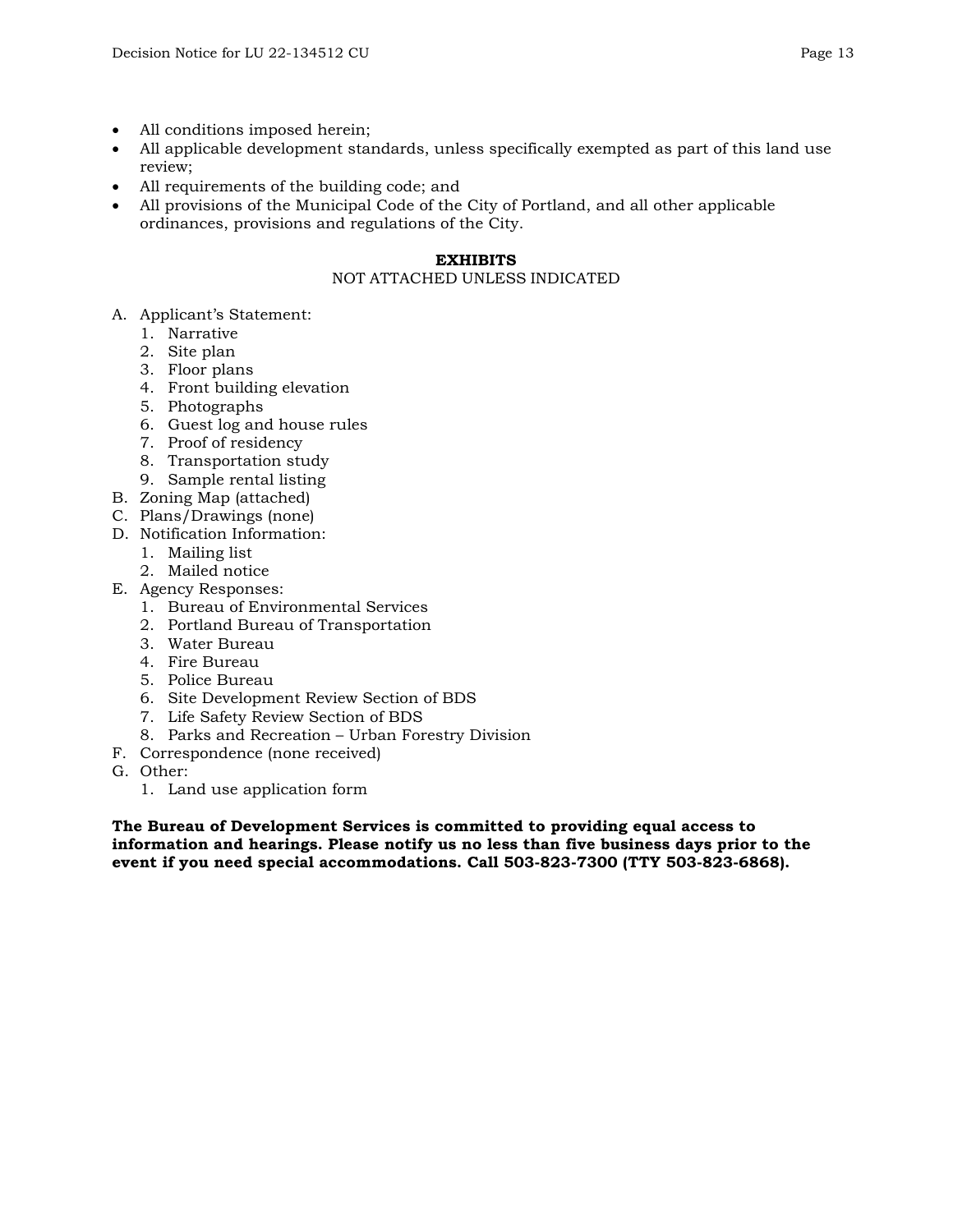- All conditions imposed herein;
- All applicable development standards, unless specifically exempted as part of this land use review;
- All requirements of the building code; and
- All provisions of the Municipal Code of the City of Portland, and all other applicable ordinances, provisions and regulations of the City.

#### **EXHIBITS**

#### NOT ATTACHED UNLESS INDICATED

- A. Applicant's Statement:
	- 1. Narrative
	- 2. Site plan
	- 3. Floor plans
	- 4. Front building elevation
	- 5. Photographs
	- 6. Guest log and house rules
	- 7. Proof of residency
	- 8. Transportation study
	- 9. Sample rental listing
- B. Zoning Map (attached)
- C. Plans/Drawings (none)
- D. Notification Information:
	- 1. Mailing list
	- 2. Mailed notice
- E. Agency Responses:
	- 1. Bureau of Environmental Services
	- 2. Portland Bureau of Transportation
	- 3. Water Bureau
	- 4. Fire Bureau
	- 5. Police Bureau
	- 6. Site Development Review Section of BDS
	- 7. Life Safety Review Section of BDS
	- 8. Parks and Recreation Urban Forestry Division
- F. Correspondence (none received)
- G. Other:
	- 1. Land use application form

**The Bureau of Development Services is committed to providing equal access to information and hearings. Please notify us no less than five business days prior to the event if you need special accommodations. Call 503-823-7300 (TTY 503-823-6868).**